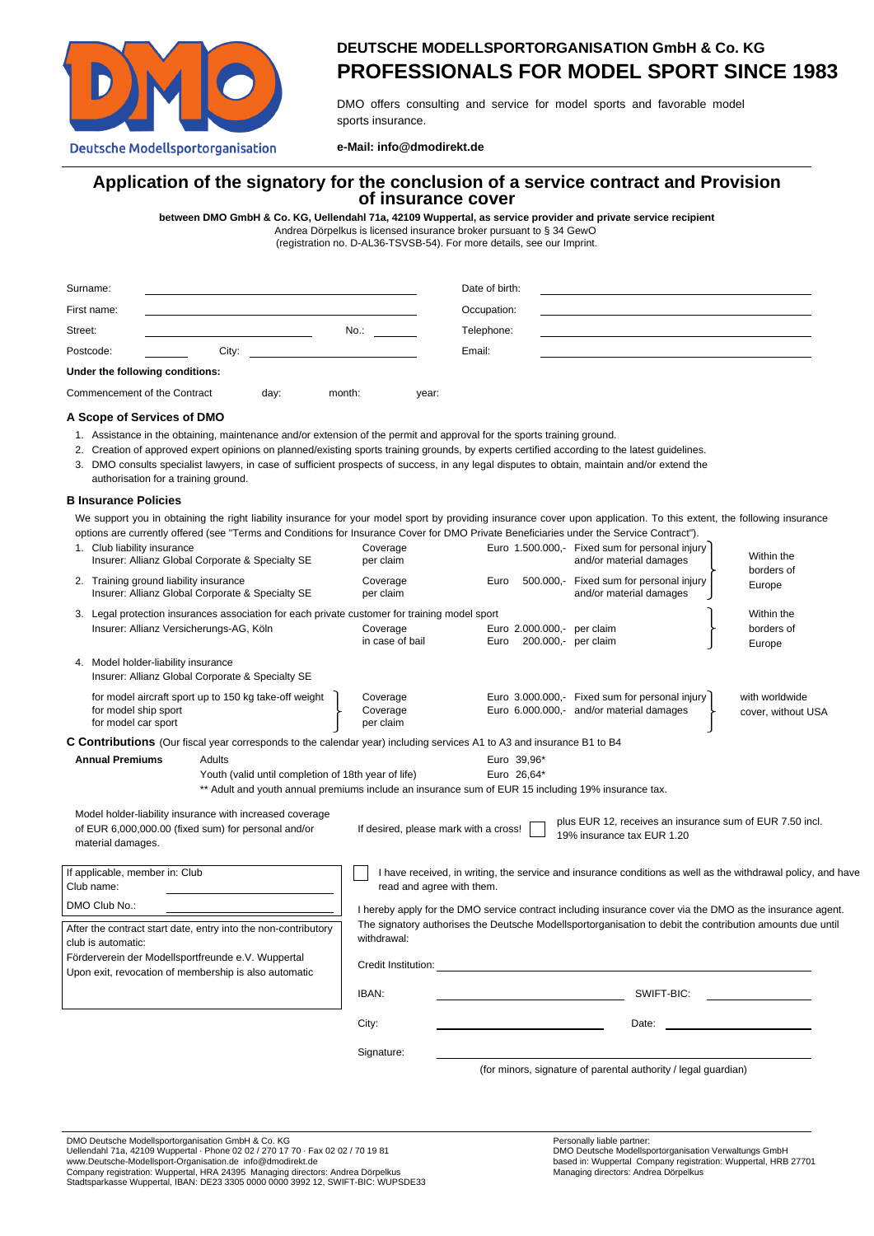

# **DEUTSCHE MODELLSPORTORGANISATION GmbH & Co. KG PROFESSIONALS FOR MODEL SPORT SINCE 1983**

DMO offers consulting and service for model sports and favorable model sports insurance.

**e-Mail: info@dmodirekt.de**

## **Application of the signatory for the conclusion of a service contract and Provision of insurance cover**

**between DMO GmbH & Co. KG, Uellendahl 71a, 42109 Wuppertal, as service provider and private service recipient**

Andrea Dörpelkus is licensed insurance broker pursuant to § 34 GewO (registration no. D-AL36-TSVSB-54). For more details, see our Imprint.

| Surname:                             |                                 |  |         |       | Date of birth: |  |
|--------------------------------------|---------------------------------|--|---------|-------|----------------|--|
| First name:                          |                                 |  |         |       | Occupation:    |  |
| Street:                              |                                 |  | $No.$ : |       | Telephone:     |  |
| Postcode:                            | City:                           |  |         |       | Email:         |  |
|                                      | Under the following conditions: |  |         |       |                |  |
| Commencement of the Contract<br>day: |                                 |  | month:  | year: |                |  |

#### **A Scope of Services of DMO**

- 1. Assistance in the obtaining, maintenance and/or extension of the permit and approval for the sports training ground.
- 2. Creation of approved expert opinions on planned/existing sports training grounds, by experts certified according to the latest guidelines.
- 3. DMO consults specialist lawyers, in case of sufficient prospects of success, in any legal disputes to obtain, maintain and/or extend the authorisation for a training ground.

#### **B Insurance Policies**

We support you in obtaining the right liability insurance for your model sport by providing insurance cover upon application. To this extent, the following insurance options are currently offered (see "Terms and Conditions for Insurance Cover for DMO Private Beneficiaries under the Service Contract").

| 1. Club liability insurance<br>Insurer: Allianz Global Corporate & Specialty SE                                                                                                                                                                                                                                        | Coverage<br>per claim                                                                                                                                                                                                                                        |                                                           | Euro 1.500.000,- Fixed sum for personal injury<br>and/or material damages                  | Within the                           |  |  |
|------------------------------------------------------------------------------------------------------------------------------------------------------------------------------------------------------------------------------------------------------------------------------------------------------------------------|--------------------------------------------------------------------------------------------------------------------------------------------------------------------------------------------------------------------------------------------------------------|-----------------------------------------------------------|--------------------------------------------------------------------------------------------|--------------------------------------|--|--|
| 2. Training ground liability insurance<br>Insurer: Allianz Global Corporate & Specialty SE                                                                                                                                                                                                                             | Coverage<br>per claim                                                                                                                                                                                                                                        | Euro                                                      | 500.000,- Fixed sum for personal injury<br>and/or material damages                         | borders of<br>Europe                 |  |  |
| 3. Legal protection insurances association for each private customer for training model sport<br>Insurer: Allianz Versicherungs-AG, Köln<br>4. Model holder-liability insurance<br>Insurer: Allianz Global Corporate & Specialty SE                                                                                    | Coverage<br>in case of bail                                                                                                                                                                                                                                  | Euro 2.000.000,- per claim<br>200.000,- per claim<br>Euro |                                                                                            | Within the<br>borders of<br>Europe   |  |  |
| for model aircraft sport up to 150 kg take-off weight<br>for model ship sport<br>for model car sport                                                                                                                                                                                                                   | Coverage<br>Coverage<br>per claim                                                                                                                                                                                                                            |                                                           | Euro 3.000.000,- Fixed sum for personal injury<br>Euro 6.000.000,- and/or material damages | with worldwide<br>cover, without USA |  |  |
| C Contributions (Our fiscal year corresponds to the calendar year) including services A1 to A3 and insurance B1 to B4<br><b>Annual Premiums</b><br>Adults<br>Youth (valid until completion of 18th year of life)<br>** Adult and youth annual premiums include an insurance sum of EUR 15 including 19% insurance tax. |                                                                                                                                                                                                                                                              | Euro 39,96*<br>Euro 26,64*                                |                                                                                            |                                      |  |  |
| Model holder-liability insurance with increased coverage<br>of EUR 6,000,000.00 (fixed sum) for personal and/or<br>material damages.                                                                                                                                                                                   |                                                                                                                                                                                                                                                              | If desired, please mark with a cross!                     | plus EUR 12, receives an insurance sum of EUR 7.50 incl.<br>19% insurance tax EUR 1.20     |                                      |  |  |
| If applicable, member in: Club<br>Club name:<br>DMO Club No.:                                                                                                                                                                                                                                                          | I have received, in writing, the service and insurance conditions as well as the withdrawal policy, and have<br>read and agree with them.                                                                                                                    |                                                           |                                                                                            |                                      |  |  |
| After the contract start date, entry into the non-contributory<br>club is automatic:<br>Förderverein der Modellsportfreunde e.V. Wuppertal<br>Upon exit, revocation of membership is also automatic                                                                                                                    | I hereby apply for the DMO service contract including insurance cover via the DMO as the insurance agent.<br>The signatory authorises the Deutsche Modellsportorganisation to debit the contribution amounts due until<br>withdrawal:<br>Credit Institution: |                                                           |                                                                                            |                                      |  |  |
|                                                                                                                                                                                                                                                                                                                        | IBAN:                                                                                                                                                                                                                                                        | SWIFT-BIC:                                                |                                                                                            |                                      |  |  |
|                                                                                                                                                                                                                                                                                                                        | City:                                                                                                                                                                                                                                                        | Date:                                                     |                                                                                            |                                      |  |  |
|                                                                                                                                                                                                                                                                                                                        | Signature:                                                                                                                                                                                                                                                   |                                                           | (for minors, signature of parental authority / legal guardian)                             |                                      |  |  |